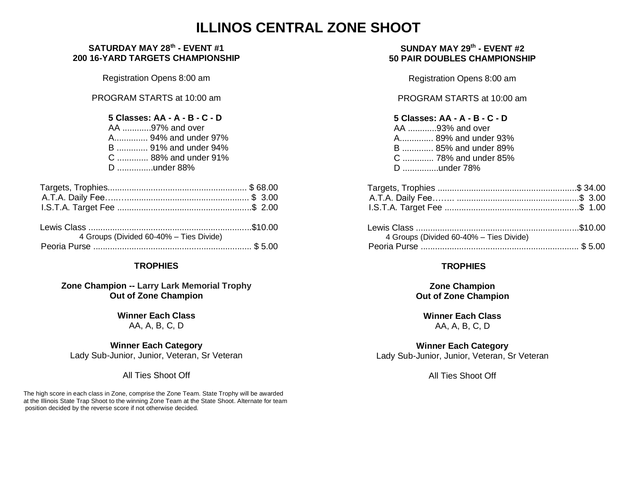# **ILLINOS CENTRAL ZONE SHOOT**

#### **SATURDAY MAY 28 th - EVENT #1 200 16-YARD TARGETS CHAMPIONSHIP**

Registration Opens 8:00 am

PROGRAM STARTS at 10:00 am

| $5 \text{ } C$ lasses: $\Delta \Delta - \Delta - R - C - D$ |  |  |  |
|-------------------------------------------------------------|--|--|--|

| , viujuu, nn n u v p |  |  |  |
|----------------------|--|--|--|
| AA 97% and over      |  |  |  |
| A 94% and under 97%  |  |  |  |
| B  91% and under 94% |  |  |  |
| C  88% and under 91% |  |  |  |
| D under 88%          |  |  |  |

| 4 Groups (Divided 60-40% - Ties Divide) |  |
|-----------------------------------------|--|
|                                         |  |

#### **TROPHIES**

#### **Zone Champion -- Larry Lark Memorial Trophy Out of Zone Champion**

**Winner Each Class** AA, A, B, C, D

**Winner Each Category** Lady Sub-Junior, Junior, Veteran, Sr Veteran

All Ties Shoot Off

The high score in each class in Zone, comprise the Zone Team. State Trophy will be awarded at the Illinois State Trap Shoot to the winning Zone Team at the State Shoot. Alternate for team position decided by the reverse score if not otherwise decided.

#### **SUNDAY MAY 29th - EVENT #2 50 PAIR DOUBLES CHAMPIONSHIP**

Registration Opens 8:00 am

PROGRAM STARTS at 10:00 am

| 5 Classes: AA - A - B - C - D |
|-------------------------------|
| AA 93% and over               |
| A 89% and under 93%           |
| B  85% and under 89%          |
| C  78% and under 85%          |
| D under 78%                   |

| 4 Groups (Divided 60-40% - Ties Divide) |  |
|-----------------------------------------|--|
|                                         |  |
|                                         |  |

#### **TROPHIES**

**Zone Champion Out of Zone Champion**

**Winner Each Class** AA, A, B, C, D

**Winner Each Category** Lady Sub-Junior, Junior, Veteran, Sr Veteran

All Ties Shoot Off